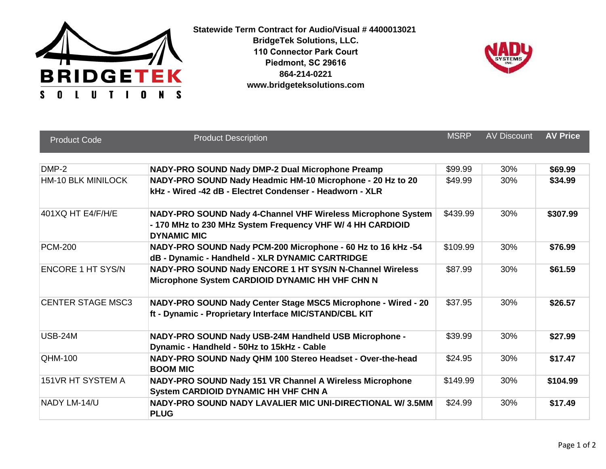

**Statewide Term Contract for Audio/Visual # 4400013021 BridgeTek Solutions, LLC. 110 Connector Park Court Piedmont, SC 29616 864-214-0221 www.bridgeteksolutions.com**



| <b>Product Code</b>       | <b>Product Description</b>                                                                                                                       | <b>MSRP</b> | <b>AV Discount</b> | <b>AV Price</b> |
|---------------------------|--------------------------------------------------------------------------------------------------------------------------------------------------|-------------|--------------------|-----------------|
| DMP-2                     | NADY-PRO SOUND Nady DMP-2 Dual Microphone Preamp                                                                                                 | \$99.99     | 30%                | \$69.99         |
| <b>HM-10 BLK MINILOCK</b> | NADY-PRO SOUND Nady Headmic HM-10 Microphone - 20 Hz to 20<br>kHz - Wired -42 dB - Electret Condenser - Headworn - XLR                           | \$49.99     | 30%                | \$34.99         |
| 401XQ HT E4/F/H/E         | NADY-PRO SOUND Nady 4-Channel VHF Wireless Microphone System<br>- 170 MHz to 230 MHz System Frequency VHF W/ 4 HH CARDIOID<br><b>DYNAMIC MIC</b> | \$439.99    | 30%                | \$307.99        |
| <b>PCM-200</b>            | NADY-PRO SOUND Nady PCM-200 Microphone - 60 Hz to 16 kHz -54<br>dB - Dynamic - Handheld - XLR DYNAMIC CARTRIDGE                                  | \$109.99    | 30%                | \$76.99         |
| <b>ENCORE 1 HT SYS/N</b>  | NADY-PRO SOUND Nady ENCORE 1 HT SYS/N N-Channel Wireless<br>Microphone System CARDIOID DYNAMIC HH VHF CHN N                                      | \$87.99     | 30%                | \$61.59         |
| <b>CENTER STAGE MSC3</b>  | NADY-PRO SOUND Nady Center Stage MSC5 Microphone - Wired - 20<br>ft - Dynamic - Proprietary Interface MIC/STAND/CBL KIT                          | \$37.95     | 30%                | \$26.57         |
| <b>USB-24M</b>            | NADY-PRO SOUND Nady USB-24M Handheld USB Microphone -<br>Dynamic - Handheld - 50Hz to 15kHz - Cable                                              | \$39.99     | 30%                | \$27.99         |
| <b>QHM-100</b>            | NADY-PRO SOUND Nady QHM 100 Stereo Headset - Over-the-head<br><b>BOOM MIC</b>                                                                    | \$24.95     | 30%                | \$17.47         |
| 151VR HT SYSTEM A         | NADY-PRO SOUND Nady 151 VR Channel A Wireless Microphone<br>System CARDIOID DYNAMIC HH VHF CHN A                                                 | \$149.99    | 30%                | \$104.99        |
| NADY LM-14/U              | NADY-PRO SOUND NADY LAVALIER MIC UNI-DIRECTIONAL W/3.5MM<br><b>PLUG</b>                                                                          | \$24.99     | 30%                | \$17.49         |